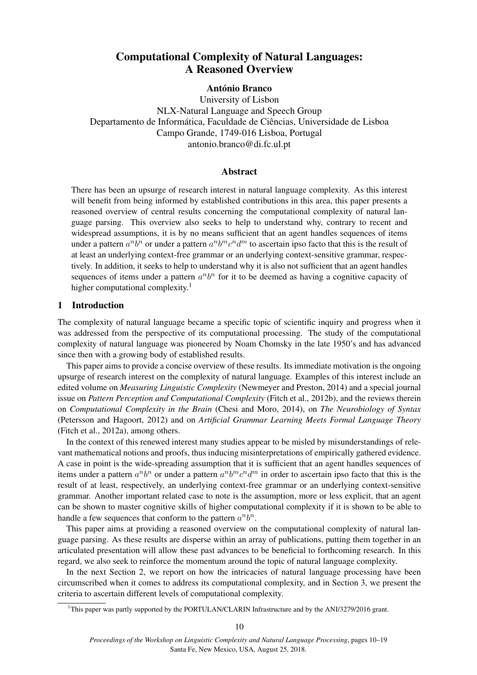# Computational Complexity of Natural Languages: A Reasoned Overview

# António Branco

University of Lisbon NLX-Natural Language and Speech Group Departamento de Informática, Faculdade de Ciências, Universidade de Lisboa Campo Grande, 1749-016 Lisboa, Portugal antonio.branco@di.fc.ul.pt

# Abstract

There has been an upsurge of research interest in natural language complexity. As this interest will benefit from being informed by established contributions in this area, this paper presents a reasoned overview of central results concerning the computational complexity of natural language parsing. This overview also seeks to help to understand why, contrary to recent and widespread assumptions, it is by no means sufficient that an agent handles sequences of items under a pattern  $a^n b^n$  or under a pattern  $a^n b^m c^n d^m$  to ascertain ipso facto that this is the result of at least an underlying context-free grammar or an underlying context-sensitive grammar, respectively. In addition, it seeks to help to understand why it is also not sufficient that an agent handles sequences of items under a pattern  $a^n b^n$  for it to be deemed as having a cognitive capacity of higher computational complexity.<sup>1</sup>

# 1 Introduction

The complexity of natural language became a specific topic of scientific inquiry and progress when it was addressed from the perspective of its computational processing. The study of the computational complexity of natural language was pioneered by Noam Chomsky in the late 1950's and has advanced since then with a growing body of established results.

This paper aims to provide a concise overview of these results. Its immediate motivation is the ongoing upsurge of research interest on the complexity of natural language. Examples of this interest include an edited volume on *Measuring Linguistic Complexity* (Newmeyer and Preston, 2014) and a special journal issue on *Pattern Perception and Computational Complexity* (Fitch et al., 2012b), and the reviews therein on *Computational Complexity in the Brain* (Chesi and Moro, 2014), on *The Neurobiology of Syntax* (Petersson and Hagoort, 2012) and on *Artificial Grammar Learning Meets Formal Language Theory* (Fitch et al., 2012a), among others.

In the context of this renewed interest many studies appear to be misled by misunderstandings of relevant mathematical notions and proofs, thus inducing misinterpretations of empirically gathered evidence. A case in point is the wide-spreading assumption that it is sufficient that an agent handles sequences of items under a pattern  $a^n b^n$  or under a pattern  $a^n b^m c^n d^m$  in order to ascertain ipso facto that this is the result of at least, respectively, an underlying context-free grammar or an underlying context-sensitive grammar. Another important related case to note is the assumption, more or less explicit, that an agent can be shown to master cognitive skills of higher computational complexity if it is shown to be able to handle a few sequences that conform to the pattern  $a^n b^n$ .

This paper aims at providing a reasoned overview on the computational complexity of natural language parsing. As these results are disperse within an array of publications, putting them together in an articulated presentation will allow these past advances to be beneficial to forthcoming research. In this regard, we also seek to reinforce the momentum around the topic of natural language complexity.

In the next Section 2, we report on how the intricacies of natural language processing have been circumscribed when it comes to address its computational complexity, and in Section 3, we present the criteria to ascertain different levels of computational complexity.

<sup>&</sup>lt;sup>1</sup>This paper was partly supported by the PORTULAN/CLARIN Infrastructure and by the ANI/3279/2016 grant.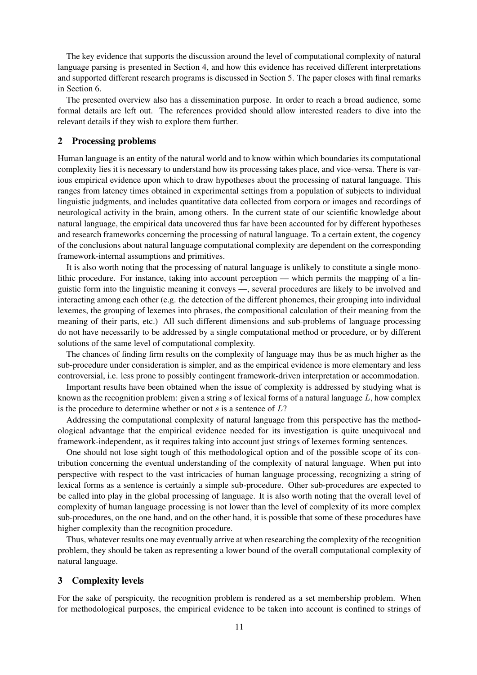The key evidence that supports the discussion around the level of computational complexity of natural language parsing is presented in Section 4, and how this evidence has received different interpretations and supported different research programs is discussed in Section 5. The paper closes with final remarks in Section 6.

The presented overview also has a dissemination purpose. In order to reach a broad audience, some formal details are left out. The references provided should allow interested readers to dive into the relevant details if they wish to explore them further.

#### 2 Processing problems

Human language is an entity of the natural world and to know within which boundaries its computational complexity lies it is necessary to understand how its processing takes place, and vice-versa. There is various empirical evidence upon which to draw hypotheses about the processing of natural language. This ranges from latency times obtained in experimental settings from a population of subjects to individual linguistic judgments, and includes quantitative data collected from corpora or images and recordings of neurological activity in the brain, among others. In the current state of our scientific knowledge about natural language, the empirical data uncovered thus far have been accounted for by different hypotheses and research frameworks concerning the processing of natural language. To a certain extent, the cogency of the conclusions about natural language computational complexity are dependent on the corresponding framework-internal assumptions and primitives.

It is also worth noting that the processing of natural language is unlikely to constitute a single monolithic procedure. For instance, taking into account perception — which permits the mapping of a linguistic form into the linguistic meaning it conveys —, several procedures are likely to be involved and interacting among each other (e.g. the detection of the different phonemes, their grouping into individual lexemes, the grouping of lexemes into phrases, the compositional calculation of their meaning from the meaning of their parts, etc.) All such different dimensions and sub-problems of language processing do not have necessarily to be addressed by a single computational method or procedure, or by different solutions of the same level of computational complexity.

The chances of finding firm results on the complexity of language may thus be as much higher as the sub-procedure under consideration is simpler, and as the empirical evidence is more elementary and less controversial, i.e. less prone to possibly contingent framework-driven interpretation or accommodation.

Important results have been obtained when the issue of complexity is addressed by studying what is known as the recognition problem: given a string  $s$  of lexical forms of a natural language  $L$ , how complex is the procedure to determine whether or not s is a sentence of  $L$ ?

Addressing the computational complexity of natural language from this perspective has the methodological advantage that the empirical evidence needed for its investigation is quite unequivocal and framework-independent, as it requires taking into account just strings of lexemes forming sentences.

One should not lose sight tough of this methodological option and of the possible scope of its contribution concerning the eventual understanding of the complexity of natural language. When put into perspective with respect to the vast intricacies of human language processing, recognizing a string of lexical forms as a sentence is certainly a simple sub-procedure. Other sub-procedures are expected to be called into play in the global processing of language. It is also worth noting that the overall level of complexity of human language processing is not lower than the level of complexity of its more complex sub-procedures, on the one hand, and on the other hand, it is possible that some of these procedures have higher complexity than the recognition procedure.

Thus, whatever results one may eventually arrive at when researching the complexity of the recognition problem, they should be taken as representing a lower bound of the overall computational complexity of natural language.

# 3 Complexity levels

For the sake of perspicuity, the recognition problem is rendered as a set membership problem. When for methodological purposes, the empirical evidence to be taken into account is confined to strings of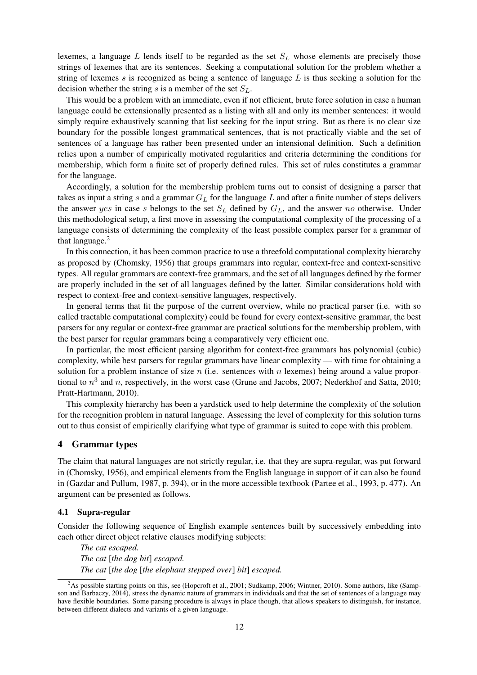lexemes, a language  $L$  lends itself to be regarded as the set  $S_L$  whose elements are precisely those strings of lexemes that are its sentences. Seeking a computational solution for the problem whether a string of lexemes s is recognized as being a sentence of language  $L$  is thus seeking a solution for the decision whether the string s is a member of the set  $S_L$ .

This would be a problem with an immediate, even if not efficient, brute force solution in case a human language could be extensionally presented as a listing with all and only its member sentences: it would simply require exhaustively scanning that list seeking for the input string. But as there is no clear size boundary for the possible longest grammatical sentences, that is not practically viable and the set of sentences of a language has rather been presented under an intensional definition. Such a definition relies upon a number of empirically motivated regularities and criteria determining the conditions for membership, which form a finite set of properly defined rules. This set of rules constitutes a grammar for the language.

Accordingly, a solution for the membership problem turns out to consist of designing a parser that takes as input a string s and a grammar  $G_L$  for the language  $L$  and after a finite number of steps delivers the answer yes in case s belongs to the set  $S_L$  defined by  $G_L$ , and the answer no otherwise. Under this methodological setup, a first move in assessing the computational complexity of the processing of a language consists of determining the complexity of the least possible complex parser for a grammar of that language.<sup>2</sup>

In this connection, it has been common practice to use a threefold computational complexity hierarchy as proposed by (Chomsky, 1956) that groups grammars into regular, context-free and context-sensitive types. All regular grammars are context-free grammars, and the set of all languages defined by the former are properly included in the set of all languages defined by the latter. Similar considerations hold with respect to context-free and context-sensitive languages, respectively.

In general terms that fit the purpose of the current overview, while no practical parser (i.e. with so called tractable computational complexity) could be found for every context-sensitive grammar, the best parsers for any regular or context-free grammar are practical solutions for the membership problem, with the best parser for regular grammars being a comparatively very efficient one.

In particular, the most efficient parsing algorithm for context-free grammars has polynomial (cubic) complexity, while best parsers for regular grammars have linear complexity — with time for obtaining a solution for a problem instance of size  $n$  (i.e. sentences with  $n$  lexemes) being around a value proportional to  $n^3$  and n, respectively, in the worst case (Grune and Jacobs, 2007; Nederkhof and Satta, 2010; Pratt-Hartmann, 2010).

This complexity hierarchy has been a yardstick used to help determine the complexity of the solution for the recognition problem in natural language. Assessing the level of complexity for this solution turns out to thus consist of empirically clarifying what type of grammar is suited to cope with this problem.

# 4 Grammar types

The claim that natural languages are not strictly regular, i.e. that they are supra-regular, was put forward in (Chomsky, 1956), and empirical elements from the English language in support of it can also be found in (Gazdar and Pullum, 1987, p. 394), or in the more accessible textbook (Partee et al., 1993, p. 477). An argument can be presented as follows.

## 4.1 Supra-regular

Consider the following sequence of English example sentences built by successively embedding into each other direct object relative clauses modifying subjects:

*The cat escaped. The cat* [*the dog bit*] *escaped. The cat* [*the dog* [*the elephant stepped over*] *bit*] *escaped.*

<sup>&</sup>lt;sup>2</sup>As possible starting points on this, see (Hopcroft et al., 2001; Sudkamp, 2006; Wintner, 2010). Some authors, like (Sampson and Barbaczy, 2014), stress the dynamic nature of grammars in individuals and that the set of sentences of a language may have flexible boundaries. Some parsing procedure is always in place though, that allows speakers to distinguish, for instance, between different dialects and variants of a given language.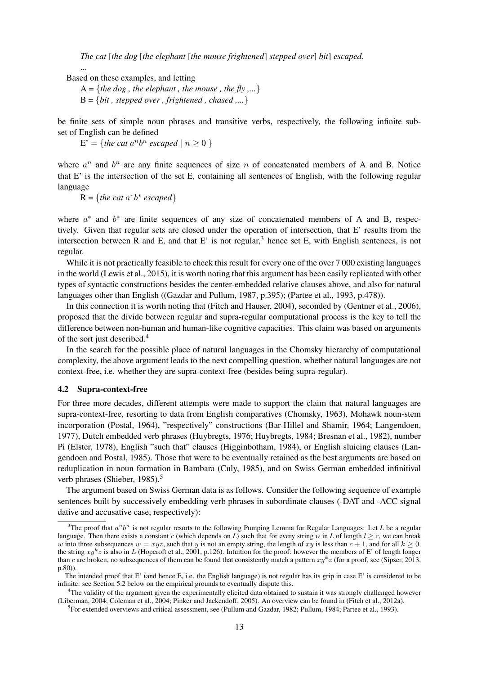*The cat* [*the dog* [*the elephant* [*the mouse frightened*] *stepped over*] *bit*] *escaped.*

Based on these examples, and letting

...

A = {*the dog*, *the elephant*, *the mouse*, *the fly*,...}  $B = \{bit, stepped over, frightened, changed, ... \}$ 

be finite sets of simple noun phrases and transitive verbs, respectively, the following infinite subset of English can be defined

 $E' = \{$ the cat a<sup>n</sup>b<sup>n</sup> escaped |  $n \ge 0$  }

where  $a^n$  and  $b^n$  are any finite sequences of size n of concatenated members of A and B. Notice that E' is the intersection of the set E, containing all sentences of English, with the following regular language

 $R = \{$ *the cat*  $a^*b^*$  *escaped* $\}$ 

where  $a^*$  and  $b^*$  are finite sequences of any size of concatenated members of A and B, respectively. Given that regular sets are closed under the operation of intersection, that E' results from the intersection between R and E, and that E' is not regular,<sup>3</sup> hence set E, with English sentences, is not regular.

While it is not practically feasible to check this result for every one of the over 7 000 existing languages in the world (Lewis et al., 2015), it is worth noting that this argument has been easily replicated with other types of syntactic constructions besides the center-embedded relative clauses above, and also for natural languages other than English ((Gazdar and Pullum, 1987, p.395); (Partee et al., 1993, p.478)).

In this connection it is worth noting that (Fitch and Hauser, 2004), seconded by (Gentner et al., 2006), proposed that the divide between regular and supra-regular computational process is the key to tell the difference between non-human and human-like cognitive capacities. This claim was based on arguments of the sort just described.<sup>4</sup>

In the search for the possible place of natural languages in the Chomsky hierarchy of computational complexity, the above argument leads to the next compelling question, whether natural languages are not context-free, i.e. whether they are supra-context-free (besides being supra-regular).

#### 4.2 Supra-context-free

For three more decades, different attempts were made to support the claim that natural languages are supra-context-free, resorting to data from English comparatives (Chomsky, 1963), Mohawk noun-stem incorporation (Postal, 1964), "respectively" constructions (Bar-Hillel and Shamir, 1964; Langendoen, 1977), Dutch embedded verb phrases (Huybregts, 1976; Huybregts, 1984; Bresnan et al., 1982), number Pi (Elster, 1978), English "such that" clauses (Higginbotham, 1984), or English sluicing clauses (Langendoen and Postal, 1985). Those that were to be eventually retained as the best arguments are based on reduplication in noun formation in Bambara (Culy, 1985), and on Swiss German embedded infinitival verb phrases (Shieber, 1985).<sup>5</sup>

The argument based on Swiss German data is as follows. Consider the following sequence of example sentences built by successively embedding verb phrases in subordinate clauses (-DAT and -ACC signal dative and accusative case, respectively):

<sup>&</sup>lt;sup>3</sup>The proof that  $a^n b^n$  is not regular resorts to the following Pumping Lemma for Regular Languages: Let *L* be a regular language. Then there exists a constant *c* (which depends on *L*) such that for every string *w* in *L* of length  $l \ge c$ , we can break w into three subsequences  $w = xyz$ , such that y is not an empty string, the length of xy is less than  $c + 1$ , and for all  $k \ge 0$ , the string  $xy^k z$  is also in L (Hopcroft et al., 2001, p.126). Intuition for the proof: however the members of E' of length longer than c are broken, no subsequences of them can be found that consistently match a pattern  $xy^k z$  (for a proof, see (Sipser, 2013, p.80)).

The intended proof that E' (and hence E, i.e. the English language) is not regular has its grip in case E' is considered to be infinite: see Section 5.2 below on the empirical grounds to eventually dispute this.

<sup>&</sup>lt;sup>4</sup>The validity of the argument given the experimentally elicited data obtained to sustain it was strongly challenged however (Liberman, 2004; Coleman et al., 2004; Pinker and Jackendoff, 2005). An overview can be found in (Fitch et al., 2012a).

<sup>5</sup> For extended overviews and critical assessment, see (Pullum and Gazdar, 1982; Pullum, 1984; Partee et al., 1993).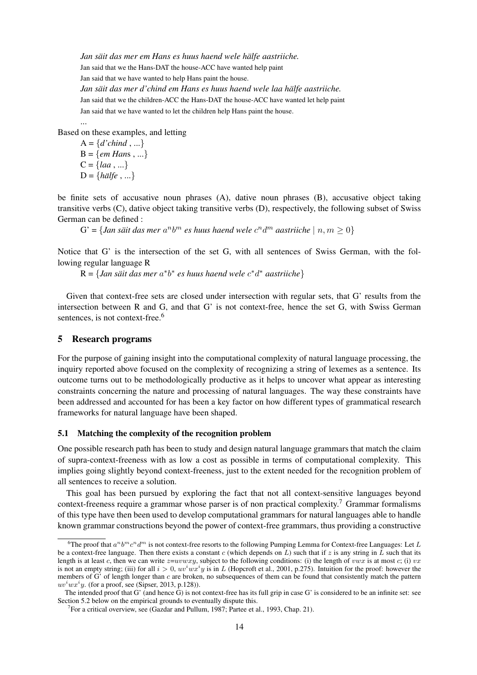*Jan säit das mer em Hans es huus haend wele hälfe aastriiche.* Jan said that we the Hans-DAT the house-ACC have wanted help paint Jan said that we have wanted to help Hans paint the house. *Jan säit das mer d'chind em Hans es huus haend wele laa hälfe aastriiche.* Jan said that we the children-ACC the Hans-DAT the house-ACC have wanted let help paint Jan said that we have wanted to let the children help Hans paint the house.

Based on these examples, and letting

 $A = \{d'chind, ...\}$ B = {*em Han*s , ...}  $C = \{la, \ldots\}$  $D = \{ \textit{h\ddot{a}} \}$ 

...

be finite sets of accusative noun phrases (A), dative noun phrases (B), accusative object taking transitive verbs (C), dative object taking transitive verbs (D), respectively, the following subset of Swiss German can be defined :

 $G' = \{ Jan \ s\ddot{a}it \ das \ mer \ a^n b^m \ es \ huus \ haend \ wele \ c^n d^m \ a\ast triiche \ | \ n,m \geq 0 \}$ 

Notice that G' is the intersection of the set G, with all sentences of Swiss German, with the following regular language R

 $R = \{ Jan s\ddot{a}it\, das\,mer\,a^*b^* \; es\, huus\,haend\,wele\,c^*d^* \; aastriiche\}$ 

Given that context-free sets are closed under intersection with regular sets, that G' results from the intersection between R and G, and that G' is not context-free, hence the set G, with Swiss German sentences, is not context-free.<sup>6</sup>

# 5 Research programs

For the purpose of gaining insight into the computational complexity of natural language processing, the inquiry reported above focused on the complexity of recognizing a string of lexemes as a sentence. Its outcome turns out to be methodologically productive as it helps to uncover what appear as interesting constraints concerning the nature and processing of natural languages. The way these constraints have been addressed and accounted for has been a key factor on how different types of grammatical research frameworks for natural language have been shaped.

## 5.1 Matching the complexity of the recognition problem

One possible research path has been to study and design natural language grammars that match the claim of supra-context-freeness with as low a cost as possible in terms of computational complexity. This implies going slightly beyond context-freeness, just to the extent needed for the recognition problem of all sentences to receive a solution.

This goal has been pursued by exploring the fact that not all context-sensitive languages beyond context-freeness require a grammar whose parser is of non practical complexity.<sup>7</sup> Grammar formalisms of this type have then been used to develop computational grammars for natural languages able to handle known grammar constructions beyond the power of context-free grammars, thus providing a constructive

<sup>&</sup>lt;sup>6</sup>The proof that  $a^nb^mc^nd^m$  is not context-free resorts to the following Pumping Lemma for Context-free Languages: Let L be a context-free language. Then there exists a constant c (which depends on  $L$ ) such that if z is any string in L such that its length is at least c, then we can write  $z=uvwxy$ , subject to the following conditions: (i) the length of vwx is at most c; (i) vx is not an empty string; (iii) for all  $i > 0$ ,  $uv^iwx^iy$  is in L (Hopcroft et al., 2001, p.275). Intuition for the proof: however the members of G' of length longer than c are broken, no subsequences of them can be found that consistently match the pattern  $uv<sup>i</sup>wx<sup>i</sup>y$ . (for a proof, see (Sipser, 2013, p.128)).

The intended proof that G' (and hence G) is not context-free has its full grip in case G' is considered to be an infinite set: see Section 5.2 below on the empirical grounds to eventually dispute this.

<sup>&</sup>lt;sup>7</sup> For a critical overview, see (Gazdar and Pullum, 1987; Partee et al., 1993, Chap. 21).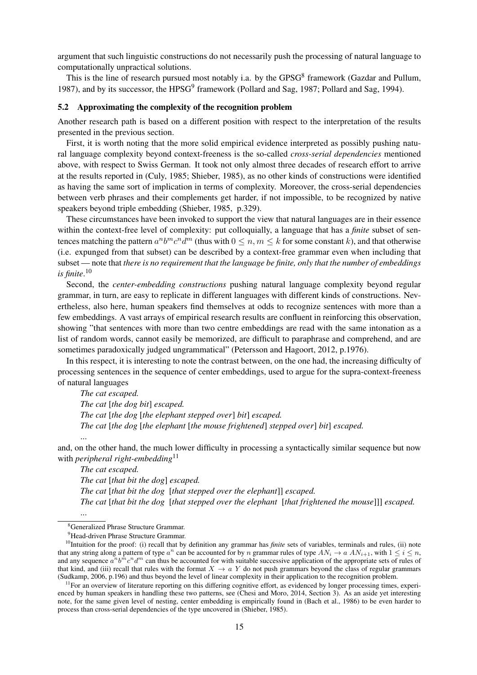argument that such linguistic constructions do not necessarily push the processing of natural language to computationally unpractical solutions.

This is the line of research pursued most notably i.a. by the GPSG<sup>8</sup> framework (Gazdar and Pullum, 1987), and by its successor, the HPSG<sup>9</sup> framework (Pollard and Sag, 1987; Pollard and Sag, 1994).

#### 5.2 Approximating the complexity of the recognition problem

Another research path is based on a different position with respect to the interpretation of the results presented in the previous section.

First, it is worth noting that the more solid empirical evidence interpreted as possibly pushing natural language complexity beyond context-freeness is the so-called *cross-serial dependencies* mentioned above, with respect to Swiss German. It took not only almost three decades of research effort to arrive at the results reported in (Culy, 1985; Shieber, 1985), as no other kinds of constructions were identified as having the same sort of implication in terms of complexity. Moreover, the cross-serial dependencies between verb phrases and their complements get harder, if not impossible, to be recognized by native speakers beyond triple embedding (Shieber, 1985, p.329).

These circumstances have been invoked to support the view that natural languages are in their essence within the context-free level of complexity: put colloquially, a language that has a *finite* subset of sentences matching the pattern  $a^n b^m c^n d^m$  (thus with  $0 \le n, m \le k$  for some constant k), and that otherwise (i.e. expunged from that subset) can be described by a context-free grammar even when including that subset — note that *there is no requirement that the language be finite, only that the number of embeddings is finite*. 10

Second, the *center-embedding constructions* pushing natural language complexity beyond regular grammar, in turn, are easy to replicate in different languages with different kinds of constructions. Nevertheless, also here, human speakers find themselves at odds to recognize sentences with more than a few embeddings. A vast arrays of empirical research results are confluent in reinforcing this observation, showing "that sentences with more than two centre embeddings are read with the same intonation as a list of random words, cannot easily be memorized, are difficult to paraphrase and comprehend, and are sometimes paradoxically judged ungrammatical" (Petersson and Hagoort, 2012, p.1976).

In this respect, it is interesting to note the contrast between, on the one had, the increasing difficulty of processing sentences in the sequence of center embeddings, used to argue for the supra-context-freeness of natural languages

*The cat escaped. The cat* [*the dog bit*] *escaped. The cat* [*the dog* [*the elephant stepped over*] *bit*] *escaped. The cat* [*the dog* [*the elephant* [*the mouse frightened*] *stepped over*] *bit*] *escaped.* ...

and, on the other hand, the much lower difficulty in processing a syntactically similar sequence but now with *peripheral right-embedding*<sup>11</sup>

*The cat escaped. The cat* [*that bit the dog*] *escaped. The cat* [*that bit the dog* [*that stepped over the elephant*]] *escaped. The cat* [*that bit the dog* [*that stepped over the elephant* [*that frightened the mouse*]]] *escaped.* ...

<sup>8</sup>Generalized Phrase Structure Grammar.

<sup>&</sup>lt;sup>9</sup>Head-driven Phrase Structure Grammar.

<sup>&</sup>lt;sup>10</sup>Intuition for the proof: (i) recall that by definition any grammar has *finite* sets of variables, terminals and rules, (ii) note that any string along a pattern of type  $a^n$  can be accounted for by n grammar rules of type  $AN_i \to a AN_{i+1}$ , with  $1 \le i \le n$ , and any sequence  $a^m b^m c^n d^m$  can thus be accounted for with suitable successive application of the appropriate sets of rules of that kind, and (iii) recall that rules with the format  $X \to a Y$  do not push grammars beyond the class of regular grammars (Sudkamp, 2006, p.196) and thus beyond the level of linear complexity in their application to the recognition problem.

 $11$  For an overview of literature reporting on this differing cognitive effort, as evidenced by longer processing times, experienced by human speakers in handling these two patterns, see (Chesi and Moro, 2014, Section 3). As an aside yet interesting note, for the same given level of nesting, center embedding is empirically found in (Bach et al., 1986) to be even harder to process than cross-serial dependencies of the type uncovered in (Shieber, 1985).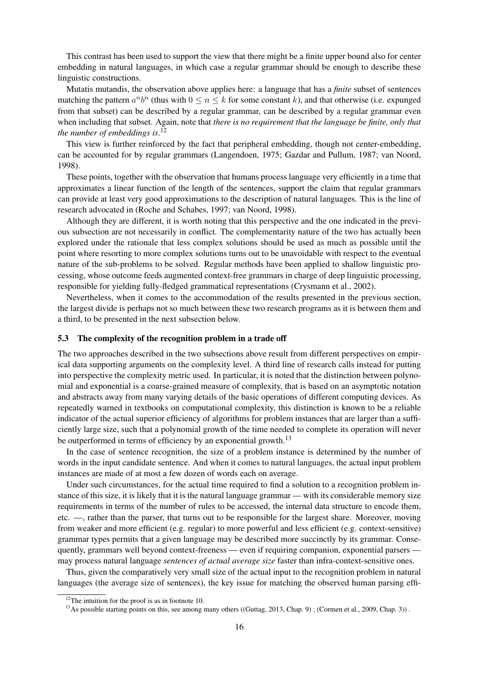This contrast has been used to support the view that there might be a finite upper bound also for center embedding in natural languages, in which case a regular grammar should be enough to describe these linguistic constructions.

Mutatis mutandis, the observation above applies here: a language that has a *finite* subset of sentences matching the pattern  $a^n b^n$  (thus with  $0 \le n \le k$  for some constant k), and that otherwise (i.e. expunged from that subset) can be described by a regular grammar, can be described by a regular grammar even when including that subset. Again, note that *there is no requirement that the language be finite, only that the number of embeddings is*. 12

This view is further reinforced by the fact that peripheral embedding, though not center-embedding, can be accounted for by regular grammars (Langendoen, 1975; Gazdar and Pullum, 1987; van Noord, 1998).

These points, together with the observation that humans process language very efficiently in a time that approximates a linear function of the length of the sentences, support the claim that regular grammars can provide at least very good approximations to the description of natural languages. This is the line of research advocated in (Roche and Schabes, 1997; van Noord, 1998).

Although they are different, it is worth noting that this perspective and the one indicated in the previous subsection are not necessarily in conflict. The complementarity nature of the two has actually been explored under the rationale that less complex solutions should be used as much as possible until the point where resorting to more complex solutions turns out to be unavoidable with respect to the eventual nature of the sub-problems to be solved. Regular methods have been applied to shallow linguistic processing, whose outcome feeds augmented context-free grammars in charge of deep linguistic processing, responsible for yielding fully-fledged grammatical representations (Crysmann et al., 2002).

Nevertheless, when it comes to the accommodation of the results presented in the previous section, the largest divide is perhaps not so much between these two research programs as it is between them and a third, to be presented in the next subsection below.

## 5.3 The complexity of the recognition problem in a trade off

The two approaches described in the two subsections above result from different perspectives on empirical data supporting arguments on the complexity level. A third line of research calls instead for putting into perspective the complexity metric used. In particular, it is noted that the distinction between polynomial and exponential is a coarse-grained measure of complexity, that is based on an asymptotic notation and abstracts away from many varying details of the basic operations of different computing devices. As repeatedly warned in textbooks on computational complexity, this distinction is known to be a reliable indicator of the actual superior efficiency of algorithms for problem instances that are larger than a sufficiently large size, such that a polynomial growth of the time needed to complete its operation will never be outperformed in terms of efficiency by an exponential growth.<sup>13</sup>

In the case of sentence recognition, the size of a problem instance is determined by the number of words in the input candidate sentence. And when it comes to natural languages, the actual input problem instances are made of at most a few dozen of words each on average.

Under such circumstances, for the actual time required to find a solution to a recognition problem instance of this size, it is likely that it is the natural language grammar — with its considerable memory size requirements in terms of the number of rules to be accessed, the internal data structure to encode them, etc. —, rather than the parser, that turns out to be responsible for the largest share. Moreover, moving from weaker and more efficient (e.g. regular) to more powerful and less efficient (e.g. context-sensitive) grammar types permits that a given language may be described more succinctly by its grammar. Consequently, grammars well beyond context-freeness — even if requiring companion, exponential parsers may process natural language *sentences of actual average size* faster than infra-context-sensitive ones.

Thus, given the comparatively very small size of the actual input to the recognition problem in natural languages (the average size of sentences), the key issue for matching the observed human parsing effi-

 $12$ The intuition for the proof is as in footnote 10.

<sup>&</sup>lt;sup>13</sup>As possible starting points on this, see among many others ((Guttag, 2013, Chap. 9); (Cormen et al., 2009, Chap. 3)).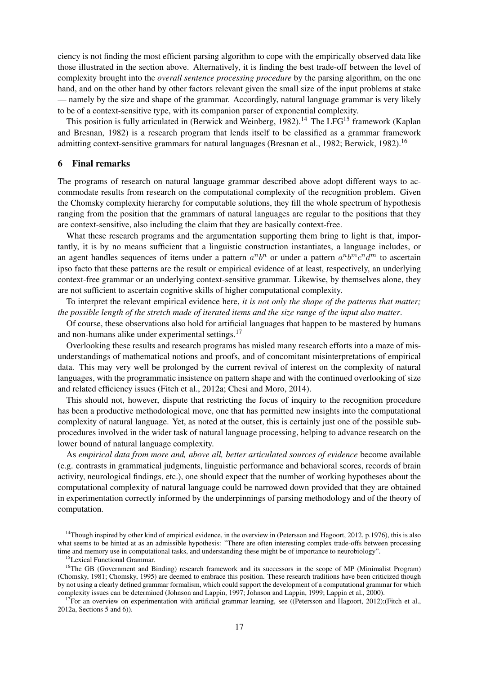ciency is not finding the most efficient parsing algorithm to cope with the empirically observed data like those illustrated in the section above. Alternatively, it is finding the best trade-off between the level of complexity brought into the *overall sentence processing procedure* by the parsing algorithm, on the one hand, and on the other hand by other factors relevant given the small size of the input problems at stake — namely by the size and shape of the grammar. Accordingly, natural language grammar is very likely to be of a context-sensitive type, with its companion parser of exponential complexity.

This position is fully articulated in (Berwick and Weinberg, 1982).<sup>14</sup> The LFG<sup>15</sup> framework (Kaplan and Bresnan, 1982) is a research program that lends itself to be classified as a grammar framework admitting context-sensitive grammars for natural languages (Bresnan et al., 1982; Berwick, 1982).<sup>16</sup>

#### 6 Final remarks

The programs of research on natural language grammar described above adopt different ways to accommodate results from research on the computational complexity of the recognition problem. Given the Chomsky complexity hierarchy for computable solutions, they fill the whole spectrum of hypothesis ranging from the position that the grammars of natural languages are regular to the positions that they are context-sensitive, also including the claim that they are basically context-free.

What these research programs and the argumentation supporting them bring to light is that, importantly, it is by no means sufficient that a linguistic construction instantiates, a language includes, or an agent handles sequences of items under a pattern  $a^n b^n$  or under a pattern  $a^n b^m c^n d^m$  to ascertain ipso facto that these patterns are the result or empirical evidence of at least, respectively, an underlying context-free grammar or an underlying context-sensitive grammar. Likewise, by themselves alone, they are not sufficient to ascertain cognitive skills of higher computational complexity.

To interpret the relevant empirical evidence here, *it is not only the shape of the patterns that matter; the possible length of the stretch made of iterated items and the size range of the input also matter*.

Of course, these observations also hold for artificial languages that happen to be mastered by humans and non-humans alike under experimental settings.<sup>17</sup>

Overlooking these results and research programs has misled many research efforts into a maze of misunderstandings of mathematical notions and proofs, and of concomitant misinterpretations of empirical data. This may very well be prolonged by the current revival of interest on the complexity of natural languages, with the programmatic insistence on pattern shape and with the continued overlooking of size and related efficiency issues (Fitch et al., 2012a; Chesi and Moro, 2014).

This should not, however, dispute that restricting the focus of inquiry to the recognition procedure has been a productive methodological move, one that has permitted new insights into the computational complexity of natural language. Yet, as noted at the outset, this is certainly just one of the possible subprocedures involved in the wider task of natural language processing, helping to advance research on the lower bound of natural language complexity.

As *empirical data from more and, above all, better articulated sources of evidence* become available (e.g. contrasts in grammatical judgments, linguistic performance and behavioral scores, records of brain activity, neurological findings, etc.), one should expect that the number of working hypotheses about the computational complexity of natural language could be narrowed down provided that they are obtained in experimentation correctly informed by the underpinnings of parsing methodology and of the theory of computation.

 $14$ Though inspired by other kind of empirical evidence, in the overview in (Petersson and Hagoort, 2012, p.1976), this is also what seems to be hinted at as an admissible hypothesis: "There are often interesting complex trade-offs between processing time and memory use in computational tasks, and understanding these might be of importance to neurobiology".

<sup>&</sup>lt;sup>15</sup>Lexical Functional Grammar.

<sup>&</sup>lt;sup>16</sup>The GB (Government and Binding) research framework and its successors in the scope of MP (Minimalist Program) (Chomsky, 1981; Chomsky, 1995) are deemed to embrace this position. These research traditions have been criticized though by not using a clearly defined grammar formalism, which could support the development of a computational grammar for which complexity issues can be determined (Johnson and Lappin, 1997; Johnson and Lappin, 1999; Lappin et al., 2000).

<sup>&</sup>lt;sup>17</sup>For an overview on experimentation with artificial grammar learning, see ((Petersson and Hagoort, 2012);(Fitch et al., 2012a, Sections 5 and 6)).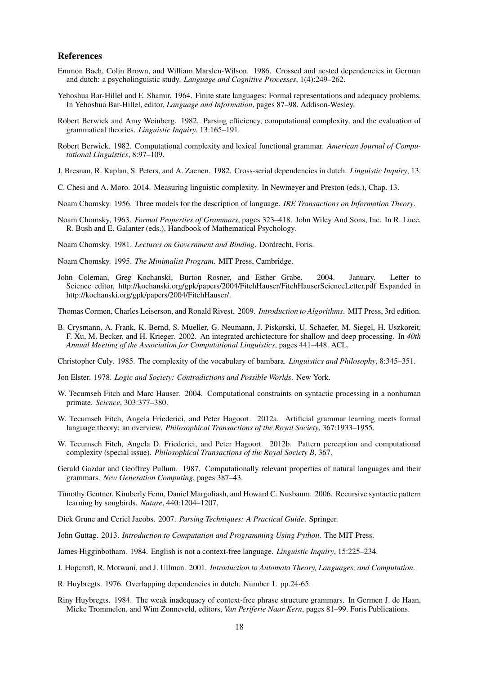#### References

- Emmon Bach, Colin Brown, and William Marslen-Wilson. 1986. Crossed and nested dependencies in German and dutch: a psycholinguistic study. *Language and Cognitive Processes*, 1(4):249–262.
- Yehoshua Bar-Hillel and E. Shamir. 1964. Finite state languages: Formal representations and adequacy problems. In Yehoshua Bar-Hillel, editor, *Language and Information*, pages 87–98. Addison-Wesley.
- Robert Berwick and Amy Weinberg. 1982. Parsing efficiency, computational complexity, and the evaluation of grammatical theories. *Linguistic Inquiry*, 13:165–191.
- Robert Berwick. 1982. Computational complexity and lexical functional grammar. *American Journal of Computational Linguistics*, 8:97–109.
- J. Bresnan, R. Kaplan, S. Peters, and A. Zaenen. 1982. Cross-serial dependencies in dutch. *Linguistic Inquiry*, 13.
- C. Chesi and A. Moro. 2014. Measuring linguistic complexity. In Newmeyer and Preston (eds.), Chap. 13.
- Noam Chomsky. 1956. Three models for the description of language. *IRE Transactions on Information Theory*.
- Noam Chomsky, 1963. *Formal Properties of Grammars*, pages 323–418. John Wiley And Sons, Inc. In R. Luce, R. Bush and E. Galanter (eds.), Handbook of Mathematical Psychology.

Noam Chomsky. 1981. *Lectures on Government and Binding*. Dordrecht, Foris.

- Noam Chomsky. 1995. *The Minimalist Program*. MIT Press, Cambridge.
- John Coleman, Greg Kochanski, Burton Rosner, and Esther Grabe. 2004. January. Letter to Science editor, http://kochanski.org/gpk/papers/2004/FitchHauser/FitchHauserScienceLetter.pdf Expanded in http://kochanski.org/gpk/papers/2004/FitchHauser/.

Thomas Cormen, Charles Leiserson, and Ronald Rivest. 2009. *Introduction to Algorithms*. MIT Press, 3rd edition.

B. Crysmann, A. Frank, K. Bernd, S. Mueller, G. Neumann, J. Piskorski, U. Schaefer, M. Siegel, H. Uszkoreit, F. Xu, M. Becker, and H. Krieger. 2002. An integrated archictecture for shallow and deep processing. In *40th Annual Meeting of the Association for Computational Linguistics*, pages 441–448. ACL.

Christopher Culy. 1985. The complexity of the vocabulary of bambara. *Linguistics and Philosophy*, 8:345–351.

- Jon Elster. 1978. *Logic and Society: Contradictions and Possible Worlds*. New York.
- W. Tecumseh Fitch and Marc Hauser. 2004. Computational constraints on syntactic processing in a nonhuman primate. *Science*, 303:377–380.
- W. Tecumseh Fitch, Angela Friederici, and Peter Hagoort. 2012a. Artificial grammar learning meets formal language theory: an overview. *Philosophical Transactions of the Royal Society*, 367:1933–1955.
- W. Tecumseh Fitch, Angela D. Friederici, and Peter Hagoort. 2012b. Pattern perception and computational complexity (special issue). *Philosophical Transactions of the Royal Society B*, 367.
- Gerald Gazdar and Geoffrey Pullum. 1987. Computationally relevant properties of natural languages and their grammars. *New Generation Computing*, pages 387–43.
- Timothy Gentner, Kimberly Fenn, Daniel Margoliash, and Howard C. Nusbaum. 2006. Recursive syntactic pattern learning by songbirds. *Nature*, 440:1204–1207.
- Dick Grune and Ceriel Jacobs. 2007. *Parsing Techniques: A Practical Guide*. Springer.
- John Guttag. 2013. *Introduction to Computation and Programming Using Python*. The MIT Press.
- James Higginbotham. 1984. English is not a context-free language. *Linguistic Inquiry*, 15:225–234.
- J. Hopcroft, R. Motwani, and J. Ullman. 2001. *Introduction to Automata Theory, Languages, and Computation*.
- R. Huybregts. 1976. Overlapping dependencies in dutch. Number 1. pp.24-65.
- Riny Huybregts. 1984. The weak inadequacy of context-free phrase structure grammars. In Germen J. de Haan, Mieke Trommelen, and Wim Zonneveld, editors, *Van Periferie Naar Kern*, pages 81–99. Foris Publications.